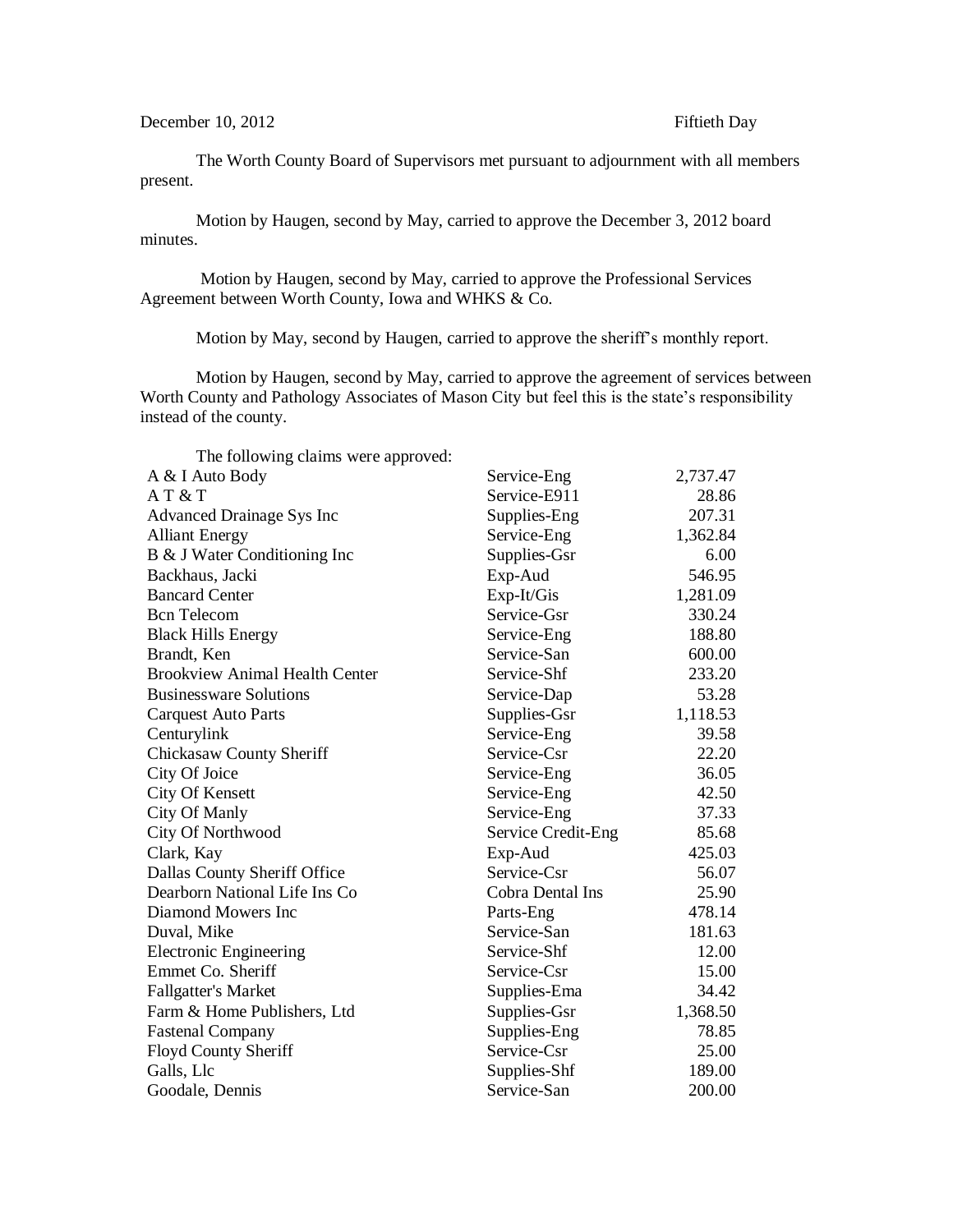The Worth County Board of Supervisors met pursuant to adjournment with all members present.

Motion by Haugen, second by May, carried to approve the December 3, 2012 board minutes.

Motion by Haugen, second by May, carried to approve the Professional Services Agreement between Worth County, Iowa and WHKS & Co.

Motion by May, second by Haugen, carried to approve the sheriff's monthly report.

Motion by Haugen, second by May, carried to approve the agreement of services between Worth County and Pathology Associates of Mason City but feel this is the state's responsibility instead of the county.

| The following cialis were approved:   |                    |          |
|---------------------------------------|--------------------|----------|
| A & I Auto Body                       | Service-Eng        | 2,737.47 |
| AT & T                                | Service-E911       | 28.86    |
| Advanced Drainage Sys Inc             | Supplies-Eng       | 207.31   |
| <b>Alliant Energy</b>                 | Service-Eng        | 1,362.84 |
| B & J Water Conditioning Inc          | Supplies-Gsr       | 6.00     |
| Backhaus, Jacki                       | Exp-Aud            | 546.95   |
| <b>Bancard Center</b>                 | Exp-It/Gis         | 1,281.09 |
| <b>Bcn</b> Telecom                    | Service-Gsr        | 330.24   |
| <b>Black Hills Energy</b>             | Service-Eng        | 188.80   |
| Brandt, Ken                           | Service-San        | 600.00   |
| <b>Brookview Animal Health Center</b> | Service-Shf        | 233.20   |
| <b>Businessware Solutions</b>         | Service-Dap        | 53.28    |
| <b>Carquest Auto Parts</b>            | Supplies-Gsr       | 1,118.53 |
| Centurylink                           | Service-Eng        | 39.58    |
| Chickasaw County Sheriff              | Service-Csr        | 22.20    |
| City Of Joice                         | Service-Eng        | 36.05    |
| City Of Kensett                       | Service-Eng        | 42.50    |
| City Of Manly                         | Service-Eng        | 37.33    |
| City Of Northwood                     | Service Credit-Eng | 85.68    |
| Clark, Kay                            | Exp-Aud            | 425.03   |
| Dallas County Sheriff Office          | Service-Csr        | 56.07    |
| Dearborn National Life Ins Co         | Cobra Dental Ins   | 25.90    |
| Diamond Mowers Inc                    | Parts-Eng          | 478.14   |
| Duval, Mike                           | Service-San        | 181.63   |
| <b>Electronic Engineering</b>         | Service-Shf        | 12.00    |
| Emmet Co. Sheriff                     | Service-Csr        | 15.00    |
| <b>Fallgatter's Market</b>            | Supplies-Ema       | 34.42    |
| Farm & Home Publishers, Ltd           | Supplies-Gsr       | 1,368.50 |
| <b>Fastenal Company</b>               | Supplies-Eng       | 78.85    |
| Floyd County Sheriff                  | Service-Csr        | 25.00    |
| Galls, Llc                            | Supplies-Shf       | 189.00   |
| Goodale, Dennis                       | Service-San        | 200.00   |

The following claims were approved: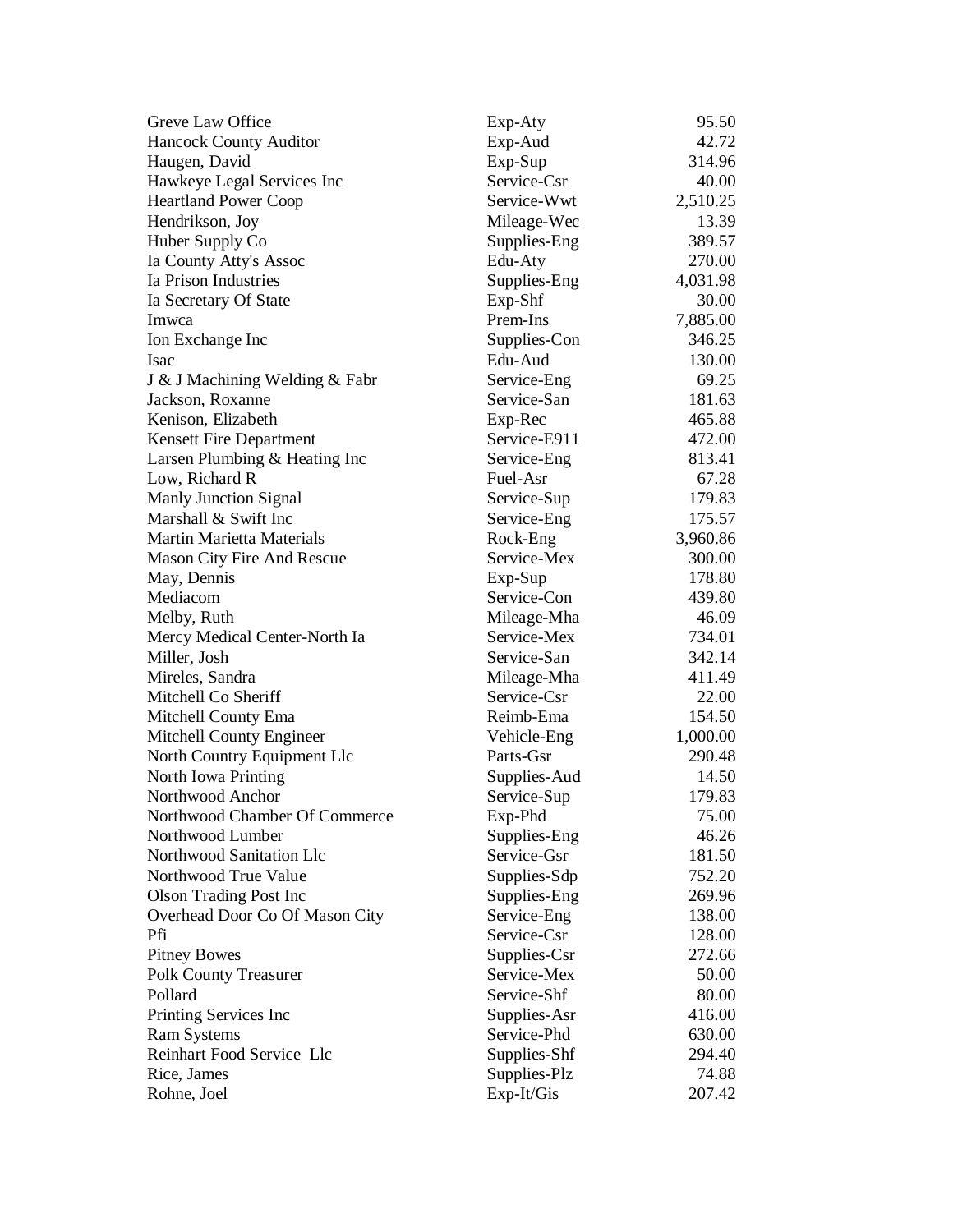| Greve Law Office                  | Exp-Aty      | 95.50    |
|-----------------------------------|--------------|----------|
| <b>Hancock County Auditor</b>     | Exp-Aud      | 42.72    |
| Haugen, David                     | Exp-Sup      | 314.96   |
| Hawkeye Legal Services Inc        | Service-Csr  | 40.00    |
| <b>Heartland Power Coop</b>       | Service-Wwt  | 2,510.25 |
| Hendrikson, Joy                   | Mileage-Wec  | 13.39    |
| Huber Supply Co                   | Supplies-Eng | 389.57   |
| Ia County Atty's Assoc            | Edu-Aty      | 270.00   |
| Ia Prison Industries              | Supplies-Eng | 4,031.98 |
| Ia Secretary Of State             | $Exp-Shf$    | 30.00    |
| Imwca                             | Prem-Ins     | 7,885.00 |
| Ion Exchange Inc                  | Supplies-Con | 346.25   |
| <b>Isac</b>                       | Edu-Aud      | 130.00   |
| J & J Machining Welding & Fabr    | Service-Eng  | 69.25    |
| Jackson, Roxanne                  | Service-San  | 181.63   |
| Kenison, Elizabeth                | Exp-Rec      | 465.88   |
| <b>Kensett Fire Department</b>    | Service-E911 | 472.00   |
| Larsen Plumbing & Heating Inc     | Service-Eng  | 813.41   |
| Low, Richard R                    | Fuel-Asr     | 67.28    |
| Manly Junction Signal             | Service-Sup  | 179.83   |
| Marshall & Swift Inc              | Service-Eng  | 175.57   |
| Martin Marietta Materials         | Rock-Eng     | 3,960.86 |
| <b>Mason City Fire And Rescue</b> | Service-Mex  | 300.00   |
| May, Dennis                       | Exp-Sup      | 178.80   |
| Mediacom                          | Service-Con  | 439.80   |
| Melby, Ruth                       | Mileage-Mha  | 46.09    |
| Mercy Medical Center-North Ia     | Service-Mex  | 734.01   |
| Miller, Josh                      | Service-San  | 342.14   |
| Mireles, Sandra                   | Mileage-Mha  | 411.49   |
| Mitchell Co Sheriff               | Service-Csr  | 22.00    |
| Mitchell County Ema               | Reimb-Ema    | 154.50   |
| Mitchell County Engineer          | Vehicle-Eng  | 1,000.00 |
| North Country Equipment Llc       | Parts-Gsr    | 290.48   |
| North Iowa Printing               | Supplies-Aud | 14.50    |
| Northwood Anchor                  | Service-Sup  | 179.83   |
| Northwood Chamber Of Commerce     | Exp-Phd      | 75.00    |
| Northwood Lumber                  | Supplies-Eng | 46.26    |
| Northwood Sanitation Llc          | Service-Gsr  | 181.50   |
| Northwood True Value              | Supplies-Sdp | 752.20   |
| <b>Olson Trading Post Inc</b>     | Supplies-Eng | 269.96   |
| Overhead Door Co Of Mason City    | Service-Eng  | 138.00   |
| Pfi                               | Service-Csr  | 128.00   |
| <b>Pitney Bowes</b>               | Supplies-Csr | 272.66   |
| <b>Polk County Treasurer</b>      | Service-Mex  | 50.00    |
| Pollard                           | Service-Shf  | 80.00    |
| Printing Services Inc             | Supplies-Asr | 416.00   |
| <b>Ram Systems</b>                | Service-Phd  | 630.00   |
| Reinhart Food Service Llc         | Supplies-Shf | 294.40   |
| Rice, James                       | Supplies-Plz | 74.88    |
| Rohne, Joel                       | Exp-It/Gis   | 207.42   |